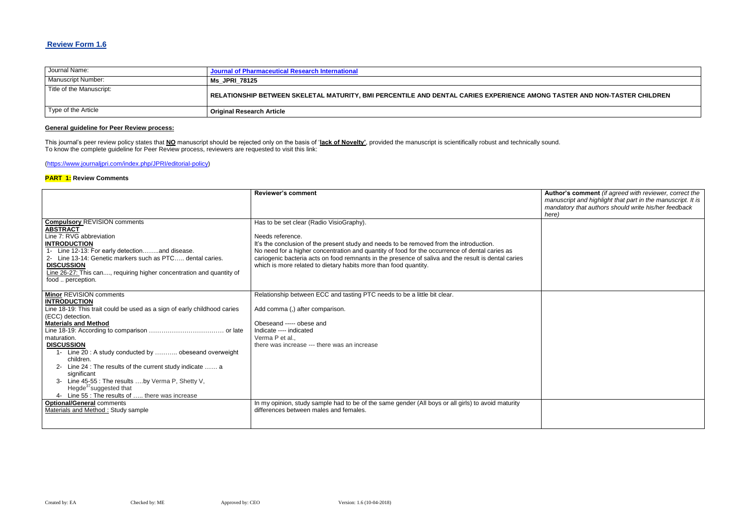### **Review Form 1.6**

| Journal Name:            | Journal of Pharmaceutical Research International                                                     |
|--------------------------|------------------------------------------------------------------------------------------------------|
| Manuscript Number:       | Ms JPRI 78125                                                                                        |
| Title of the Manuscript: | $\mid$ RELATIONSHIP BETWEEN SKELETAL MATURITY, BMI PERCENTILE AND DENTAL CARIES EXPERIENCE AMONG TAS |
| Type of the Article      | <b>Original Research Article</b>                                                                     |

#### **General guideline for Peer Review process:**

**Review or's comment** *(if agreed with reviewer, correct the manuscript and highlight that part in the manuscript. It is mandatory that authors should write his/her feedback* 

This journal's peer review policy states that **NO** manuscript should be rejected only on the basis of '**lack of Novelty'**, provided the manuscript is scientifically robust and technically sound. To know the complete guideline for Peer Review process, reviewers are requested to visit this link:

[\(https://www.journaljpri.com/index.php/JPRI/editorial-policy\)](https://www.journaljpri.com/index.php/JPRI/editorial-policy)

#### **PART 1: Review Comments**

|                                                                                                                                                                             | <b>Reviewer's comment</b>                                                                                                                                                                                                                                 | Autho<br>manus |
|-----------------------------------------------------------------------------------------------------------------------------------------------------------------------------|-----------------------------------------------------------------------------------------------------------------------------------------------------------------------------------------------------------------------------------------------------------|----------------|
|                                                                                                                                                                             |                                                                                                                                                                                                                                                           | manda          |
|                                                                                                                                                                             |                                                                                                                                                                                                                                                           | here)          |
| <b>Compulsory REVISION comments</b><br><b>ABSTRACT</b><br>Line 7: RVG abbreviation<br><b>INTRODUCTION</b><br>1- Line 12-13: For early detectionand disease.                 | Has to be set clear (Radio VisioGraphy).<br>Needs reference.<br>It's the conclusion of the present study and needs to be removed from the introduction.<br>No need for a higher concentration and quantity of food for the occurrence of dental caries as |                |
| 2- Line 13-14: Genetic markers such as PTC dental caries.<br><b>DISCUSSION</b><br>Line 26-27: This can, requiring higher concentration and quantity of<br>food  perception. | cariogenic bacteria acts on food remnants in the presence of saliva and the result is dental caries<br>which is more related to dietary habits more than food quantity.                                                                                   |                |
| <b>Minor REVISION comments</b><br><b>INTRODUCTION</b>                                                                                                                       | Relationship between ECC and tasting PTC needs to be a little bit clear.                                                                                                                                                                                  |                |
| Line 18-19: This trait could be used as a sign of early childhood caries<br>(ECC) detection.                                                                                | Add comma (,) after comparison.                                                                                                                                                                                                                           |                |
| <b>Materials and Method</b>                                                                                                                                                 | Obeseand ----- obese and                                                                                                                                                                                                                                  |                |
|                                                                                                                                                                             | Indicate ---- indicated                                                                                                                                                                                                                                   |                |
| maturation.<br><b>DISCUSSION</b>                                                                                                                                            | Verma P et al.,<br>there was increase --- there was an increase                                                                                                                                                                                           |                |
| 1- Line 20: A study conducted by  obeseand overweight<br>children.<br>2- Line 24 : The results of the current study indicate  a                                             |                                                                                                                                                                                                                                                           |                |
| significant<br>3- Line 45-55 : The results by Verma P, Shetty V,<br>Hegde <sup>37</sup> suggested that                                                                      |                                                                                                                                                                                                                                                           |                |
| 4- Line 55 : The results of  there was increase                                                                                                                             |                                                                                                                                                                                                                                                           |                |
| <b>Optional/General comments</b><br>Materials and Method: Study sample                                                                                                      | In my opinion, study sample had to be of the same gender (All boys or all girls) to avoid maturity<br>differences between males and females.                                                                                                              |                |

## **STER AND NON-TASTER CHILDREN**